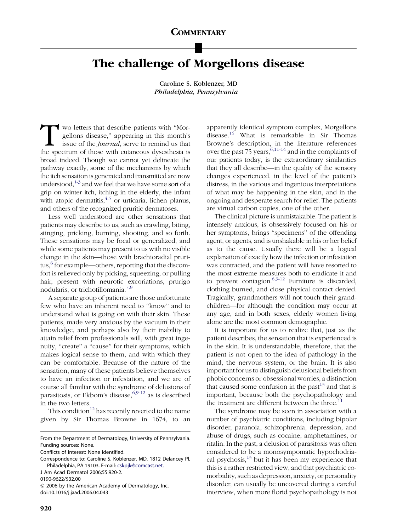## The challenge of Morgellons disease

Caroline S. Koblenzer, MD Philadelphia, Pennsylvania

Wo letters that describe patients with "Morgellons disease," appearing in this month's issue of the *Journal*, serve to remind us that the spectrum of those with cutaneous dysesthesia is gellons disease,'' appearing in this month's issue of the Journal, serve to remind us that the spectrum of those with cutaneous dysesthesia is broad indeed. Though we cannot yet delineate the pathway exactly, some of the mechanisms by which the itch sensation is generated and transmitted are now understood, $1-3$  and we feel that we have some sort of a grip on winter itch, itching in the elderly, the infant with atopic dermatitis,  $4.5$  or urticaria, lichen planus, and others of the recognized pruritic dermatoses.

Less well understood are other sensations that patients may describe to us, such as crawling, biting, stinging, pricking, burning, shooting, and so forth. These sensations may be focal or generalized, and while some patients may present to us with no visible change in the skin—those with brachioradial pruritus, $6$  for example—others, reporting that the discomfort is relieved only by picking, squeezing, or pulling hair, present with neurotic excoriations, prurigo nodularis, or trichotillomania.[7,8](#page-2-0)

A separate group of patients are those unfortunate few who have an inherent need to ''know'' and to understand what is going on with their skin. These patients, made very anxious by the vacuum in their knowledge, and perhaps also by their inability to attain relief from professionals will, with great ingenuity, "create" a "cause" for their symptoms, which makes logical sense to them, and with which they can be comfortable. Because of the nature of the sensation, many of these patients believe themselves to have an infection or infestation, and we are of course all familiar with the syndrome of delusions of parasitosis, or Ekbom's disease,  $6.9-12$  as is described in the two letters.

This condition $12$  has recently reverted to the name given by Sir Thomas Browne in 1674, to an

apparently identical symptom complex, Morgellons disease.[15](#page-2-0) What is remarkable in Sir Thomas Browne's description, in the literature references over the past 75 years,  $6,11-14$  and in the complaints of our patients today, is the extraordinary similarities that they all describe—in the quality of the sensory changes experienced, in the level of the patient's distress, in the various and ingenious interpretations of what may be happening in the skin, and in the ongoing and desperate search for relief. The patients are virtual carbon copies, one of the other.

The clinical picture is unmistakable. The patient is intensely anxious, is obsessively focused on his or her symptoms, brings ''specimens'' of the offending agent, or agents, and is unshakable in his or her belief as to the cause. Usually there will be a logical explanation of exactly how the infection or infestation was contracted, and the patient will have resorted to the most extreme measures both to eradicate it and to prevent contagion.<sup>[6,9-12](#page-2-0)</sup> Furniture is discarded, clothing burned, and close physical contact denied. Tragically, grandmothers will not touch their grandchildren—for although the condition may occur at any age, and in both sexes, elderly women living alone are the most common demographic.

It is important for us to realize that, just as the patient describes, the sensation that is experienced is in the skin. It is understandable, therefore, that the patient is not open to the idea of pathology in the mind, the nervous system, or the brain. It is also important for us to distinguish delusional beliefs from phobic concerns or obsessional worries, a distinction that caused some confusion in the past $13$  and that is important, because both the psychopathology and the treatment are different between the three.<sup>1</sup>

The syndrome may be seen in association with a number of psychiatric conditions, including bipolar disorder, paranoia, schizophrenia, depression, and abuse of drugs, such as cocaine, amphetamines, or ritalin. In the past, a delusion of parasitosis was often considered to be a monosympomatic hypochodriacal psychosis, $13$  but it has been my experience that this is a rather restricted view, and that psychiatric comorbidity, such as depression, anxiety, or personality disorder, can usually be uncovered during a careful interview, when more florid psychopathology is not

From the Department of Dermatology, University of Pennsylvania. Funding sources: None.

Conflicts of interest: None identified.

Correspondence to: Caroline S. Koblenzer, MD, 1812 Delancey Pl, Philadelphia, PA 19103. E-mail: [cskpjk@comcast.net.](mailto:cskpjk@comcast.net)

J Am Acad Dermatol 2006;55:920-2.

<sup>0190-9622/\$32.00</sup>

*ª* 2006 by the American Academy of Dermatology, Inc. doi:10.1016/j.jaad.2006.04.043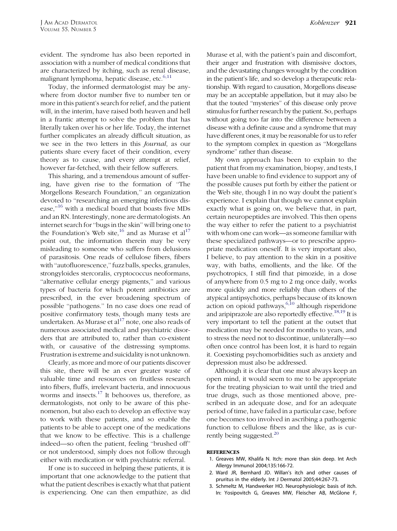<span id="page-1-0"></span>evident. The syndrome has also been reported in association with a number of medical conditions that are characterized by itching, such as renal disease, malignant lymphoma, hepatic disease, etc. $6,11$ 

Today, the informed dermatologist may be anywhere from doctor number five to number ten or more in this patient's search for relief, and the patient will, in the interim, have raised both heaven and hell in a frantic attempt to solve the problem that has literally taken over his or her life. Today, the internet further complicates an already difficult situation, as we see in the two letters in this Journal, as our patients share every facet of their condition, every theory as to cause, and every attempt at relief, however far-fetched, with their fellow sufferers.

This sharing, and a tremendous amount of suffering, have given rise to the formation of ''The Morgellons Research Foundation,'' an organization devoted to ''researching an emerging infectious dis-ease,"<sup>[16](#page-2-0)</sup> with a medical board that boasts five MDs and an RN. Interestingly, none are dermatologists. An internet search for ''bugs in the skin'' will bring one to the Foundation's Web site,<sup>[16](#page-2-0)</sup> and as Murase et  $al<sup>17</sup>$  $al<sup>17</sup>$  $al<sup>17</sup>$ point out, the information therein may be very misleading to someone who suffers from delusions of parasitosis. One reads of cellulose fibers, fibers with "autofluorescence," fuzz balls, specks, granules, strongyloides stercoralis, cryptococcus neoformans, "alternative cellular energy pigments," and various types of bacteria for which potent antibiotics are prescribed, in the ever broadening spectrum of possible ''pathogens.'' In no case does one read of positive confirmatory tests, though many tests are undertaken. As Murase et al $17$  note, one also reads of numerous associated medical and psychiatric disorders that are attributed to, rather than co-existent with, or causative of the distressing symptoms. Frustration is extreme and suicidality is not unknown.

Clearly, as more and more of our patients discover this site, there will be an ever greater waste of valuable time and resources on fruitless research into fibers, fluffs, irrelevant bacteria, and innocuous worms and insects.<sup>[17](#page-2-0)</sup> It behooves us, therefore, as dermatologists, not only to be aware of this phenomenon, but also each to develop an effective way to work with these patients, and so enable the patients to be able to accept one of the medications that we know to be effective. This is a challenge indeed—so often the patient, feeling ''brushed off'' or not understood, simply does not follow through either with medication or with psychiatric referral.

If one is to succeed in helping these patients, it is important that one acknowledge to the patient that what the patient describes is exactly what that patient is experiencing. One can then empathize, as did

Murase et al, with the patient's pain and discomfort, their anger and frustration with dismissive doctors, and the devastating changes wrought by the condition in the patient's life, and so develop a therapeutic relationship. With regard to causation, Morgellons disease may be an acceptable appellation, but it may also be that the touted ''mysteries'' of this disease only prove stimulus for further research by the patient. So, perhaps without going too far into the difference between a disease with a definite cause and a syndrome that may have different ones, it may be reasonable for us to refer to the symptom complex in question as ''Morgellans syndrome'' rather than disease.

My own approach has been to explain to the patient that from my examination, biopsy, and tests, I have been unable to find evidence to support any of the possible causes put forth by either the patient or the Web site, though I in no way doubt the patient's experience. I explain that though we cannot explain exactly what is going on, we believe that, in part, certain neuropeptides are involved. This then opens the way either to refer the patient to a psychiatrist with whom one can work—as someone familiar with these specialized pathways—or to prescribe appropriate medication oneself. It is very important also, I believe, to pay attention to the skin in a positive way, with baths, emollients, and the like. Of the psychotropics, I still find that pimozide, in a dose of anywhere from 0.5 mg to 2 mg once daily, works more quickly and more reliably than others of the atypical antipsychotics, perhaps because of its known action on opioid pathways,  $6,10$  although risperidone and aripiprazole are also reportedly effective.<sup>18,19</sup> It is very important to tell the patient at the outset that medication may be needed for months to years, and to stress the need not to discontinue, unilaterally—so often once control has been lost, it is hard to regain it. Coexisting psychomorbidities such as anxiety and depression must also be addressed.

Although it is clear that one must always keep an open mind, it would seem to me to be appropriate for the treating physician to wait until the tried and true drugs, such as those mentioned above, prescribed in an adequate dose, and for an adequate period of time, have failed in a particular case, before one becomes too involved in ascribing a pathogenic function to cellulose fibers and the like, as is cur-rently being suggested.<sup>[20](#page-2-0)</sup>

## **REFERENCES**

- 1. Greaves MW, Khalifa N. Itch: more than skin deep. Int Arch Allergy Immunol 2004;135:166-72.
- 2. Ward JR, Bernhard JD. Willan's itch and other causes of pruritus in the elderly. Int J Dermatol 2005;44:267-73.
- 3. Schmeltz M, Handwerker HO. Neurophysiologic basis of itch. In: Yosipovitch G, Greaves MW, Fleischer AB, McGlone F,